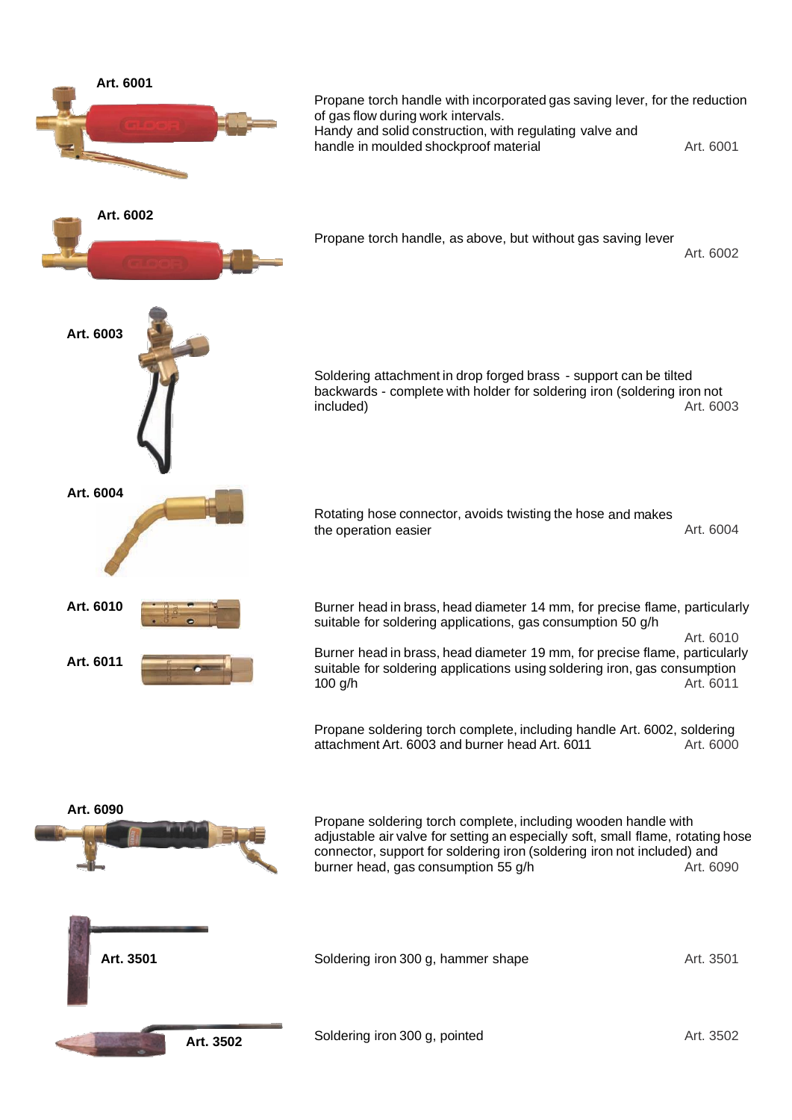